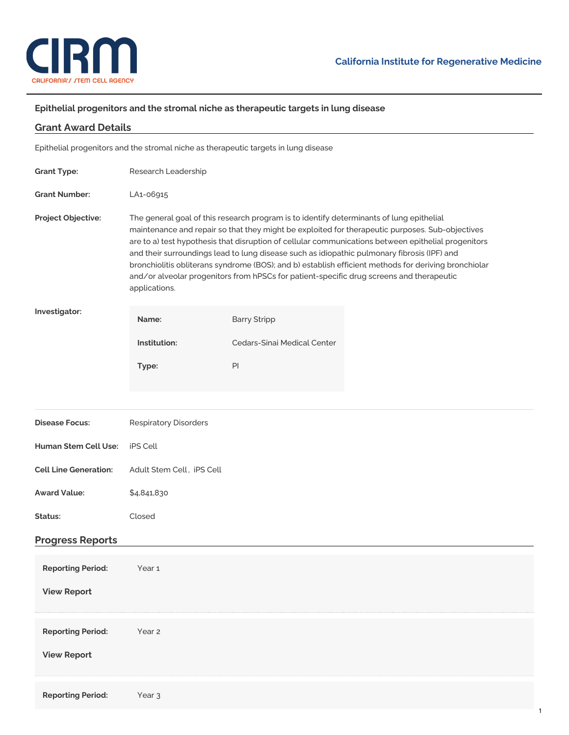

## **Epithelial progenitors and the stromal niche as therapeutic targets in lung disease**

| <b>Grant Award Details</b>                     |                                                                                                                                                                                                                                                                                                                                                                                                                                                                                                                                                                                                                        |                                                                                     |  |
|------------------------------------------------|------------------------------------------------------------------------------------------------------------------------------------------------------------------------------------------------------------------------------------------------------------------------------------------------------------------------------------------------------------------------------------------------------------------------------------------------------------------------------------------------------------------------------------------------------------------------------------------------------------------------|-------------------------------------------------------------------------------------|--|
|                                                |                                                                                                                                                                                                                                                                                                                                                                                                                                                                                                                                                                                                                        | Epithelial progenitors and the stromal niche as therapeutic targets in lung disease |  |
| <b>Grant Type:</b>                             | Research Leadership                                                                                                                                                                                                                                                                                                                                                                                                                                                                                                                                                                                                    |                                                                                     |  |
| <b>Grant Number:</b>                           | LA1-06915                                                                                                                                                                                                                                                                                                                                                                                                                                                                                                                                                                                                              |                                                                                     |  |
| Project Objective:                             | The general goal of this research program is to identify determinants of lung epithelial<br>maintenance and repair so that they might be exploited for therapeutic purposes. Sub-objectives<br>are to a) test hypothesis that disruption of cellular communications between epithelial progenitors<br>and their surroundings lead to lung disease such as idiopathic pulmonary fibrosis (IPF) and<br>bronchiolitis obliterans syndrome (BOS); and b) establish efficient methods for deriving bronchiolar<br>and/or alveolar progenitors from hPSCs for patient-specific drug screens and therapeutic<br>applications. |                                                                                     |  |
| Investigator:                                  | Name:                                                                                                                                                                                                                                                                                                                                                                                                                                                                                                                                                                                                                  | <b>Barry Stripp</b>                                                                 |  |
|                                                | Institution:                                                                                                                                                                                                                                                                                                                                                                                                                                                                                                                                                                                                           | Cedars-Sinai Medical Center                                                         |  |
|                                                | Type:                                                                                                                                                                                                                                                                                                                                                                                                                                                                                                                                                                                                                  | PI                                                                                  |  |
|                                                |                                                                                                                                                                                                                                                                                                                                                                                                                                                                                                                                                                                                                        |                                                                                     |  |
|                                                |                                                                                                                                                                                                                                                                                                                                                                                                                                                                                                                                                                                                                        |                                                                                     |  |
| <b>Disease Focus:</b>                          | <b>Respiratory Disorders</b>                                                                                                                                                                                                                                                                                                                                                                                                                                                                                                                                                                                           |                                                                                     |  |
| Human Stem Cell Use:                           | iPS Cell                                                                                                                                                                                                                                                                                                                                                                                                                                                                                                                                                                                                               |                                                                                     |  |
| <b>Cell Line Generation:</b>                   | Adult Stem Cell, iPS Cell                                                                                                                                                                                                                                                                                                                                                                                                                                                                                                                                                                                              |                                                                                     |  |
| <b>Award Value:</b>                            | \$4,841,830                                                                                                                                                                                                                                                                                                                                                                                                                                                                                                                                                                                                            |                                                                                     |  |
| Status:                                        | Closed                                                                                                                                                                                                                                                                                                                                                                                                                                                                                                                                                                                                                 |                                                                                     |  |
| <b>Progress Reports</b>                        |                                                                                                                                                                                                                                                                                                                                                                                                                                                                                                                                                                                                                        |                                                                                     |  |
| <b>Reporting Period:</b><br><b>View Report</b> | Year 1                                                                                                                                                                                                                                                                                                                                                                                                                                                                                                                                                                                                                 |                                                                                     |  |
| <b>Reporting Period:</b><br><b>View Report</b> | Year <sub>2</sub>                                                                                                                                                                                                                                                                                                                                                                                                                                                                                                                                                                                                      |                                                                                     |  |
| <b>Reporting Period:</b>                       | Year <sub>3</sub>                                                                                                                                                                                                                                                                                                                                                                                                                                                                                                                                                                                                      |                                                                                     |  |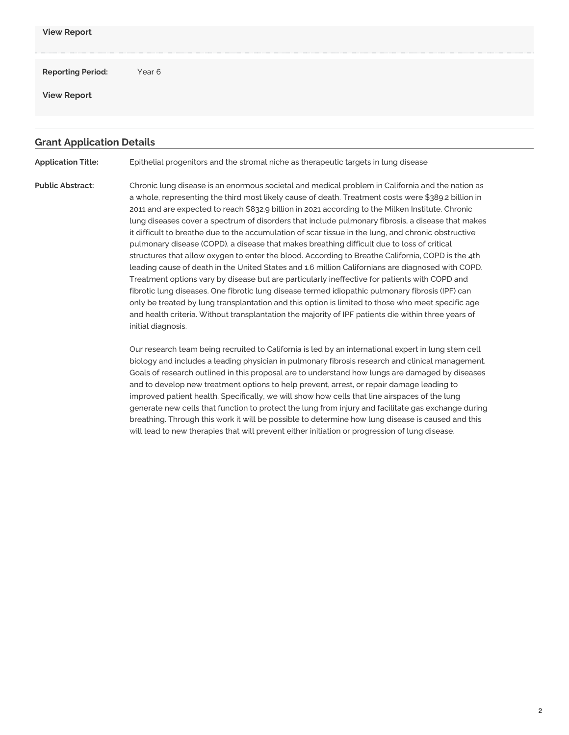| <b>View Report</b>                             |                                                                                     |
|------------------------------------------------|-------------------------------------------------------------------------------------|
| <b>Reporting Period:</b><br><b>View Report</b> | Year 6                                                                              |
| <b>Grant Application Details</b>               |                                                                                     |
| <b>Application Title:</b>                      | Epithelial progenitors and the stromal niche as therapeutic targets in lung disease |

**Public Abstract:** Chronic lung disease is an enormous societal and medical problem in California and the nation as a whole, representing the third most likely cause of death. Treatment costs were \$389.2 billion in 2011 and are expected to reach \$832.9 billion in 2021 according to the Milken Institute. Chronic lung diseases cover a spectrum of disorders that include pulmonary fibrosis, a disease that makes it difficult to breathe due to the accumulation of scar tissue in the lung, and chronic obstructive pulmonary disease (COPD), a disease that makes breathing difficult due to loss of critical structures that allow oxygen to enter the blood. According to Breathe California, COPD is the 4th leading cause of death in the United States and 1.6 million Californians are diagnosed with COPD. Treatment options vary by disease but are particularly ineffective for patients with COPD and fibrotic lung diseases. One fibrotic lung disease termed idiopathic pulmonary fibrosis (IPF) can only be treated by lung transplantation and this option is limited to those who meet specific age and health criteria. Without transplantation the majority of IPF patients die within three years of initial diagnosis.

> Our research team being recruited to California is led by an international expert in lung stem cell biology and includes a leading physician in pulmonary fibrosis research and clinical management. Goals of research outlined in this proposal are to understand how lungs are damaged by diseases and to develop new treatment options to help prevent, arrest, or repair damage leading to improved patient health. Specifically, we will show how cells that line airspaces of the lung generate new cells that function to protect the lung from injury and facilitate gas exchange during breathing. Through this work it will be possible to determine how lung disease is caused and this will lead to new therapies that will prevent either initiation or progression of lung disease.